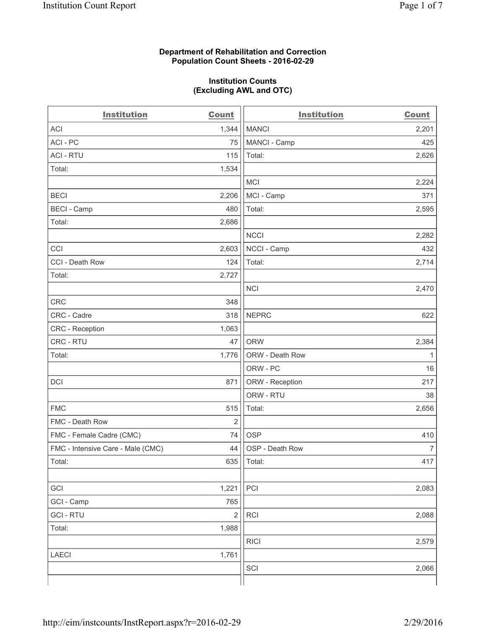#### **Department of Rehabilitation and Correction Population Count Sheets - 2016-02-29**

#### **Institution Counts (Excluding AWL and OTC)**

| <b>Institution</b>                | <b>Count</b>   | <b>Institution</b> | <b>Count</b>   |
|-----------------------------------|----------------|--------------------|----------------|
| <b>ACI</b>                        | 1,344          | <b>MANCI</b>       | 2,201          |
| ACI - PC                          | 75             | MANCI - Camp       | 425            |
| <b>ACI - RTU</b>                  | 115            | Total:             | 2,626          |
| Total:                            | 1,534          |                    |                |
|                                   |                | <b>MCI</b>         | 2,224          |
| <b>BECI</b>                       | 2,206          | MCI - Camp         | 371            |
| <b>BECI - Camp</b>                | 480            | Total:             | 2,595          |
| Total:                            | 2,686          |                    |                |
|                                   |                | <b>NCCI</b>        | 2,282          |
| CCI                               | 2,603          | NCCI - Camp        | 432            |
| CCI - Death Row                   | 124            | Total:             | 2,714          |
| Total:                            | 2,727          |                    |                |
|                                   |                | <b>NCI</b>         | 2,470          |
| <b>CRC</b>                        | 348            |                    |                |
| CRC - Cadre                       | 318            | <b>NEPRC</b>       | 622            |
| CRC - Reception                   | 1,063          |                    |                |
| CRC - RTU                         | 47             | <b>ORW</b>         | 2,384          |
| Total:                            | 1,776          | ORW - Death Row    | $\mathbf{1}$   |
|                                   |                | ORW - PC           | 16             |
| DCI                               | 871            | ORW - Reception    | 217            |
|                                   |                | ORW - RTU          | 38             |
| <b>FMC</b>                        | 515            | Total:             | 2,656          |
| FMC - Death Row                   | $\overline{2}$ |                    |                |
| FMC - Female Cadre (CMC)          | 74             | <b>OSP</b>         | 410            |
| FMC - Intensive Care - Male (CMC) | 44             | OSP - Death Row    | $\overline{7}$ |
| Total:                            | 635            | Total:             | 417            |
|                                   |                |                    |                |
| GCI                               | 1,221          | PCI                | 2,083          |
| GCI - Camp                        | 765            |                    |                |
| <b>GCI - RTU</b>                  | $\overline{2}$ | RCI                | 2,088          |
| Total:                            | 1,988          |                    |                |
|                                   |                | <b>RICI</b>        | 2,579          |
| <b>LAECI</b>                      | 1,761          |                    |                |
|                                   |                | SCI                | 2,066          |
|                                   |                |                    |                |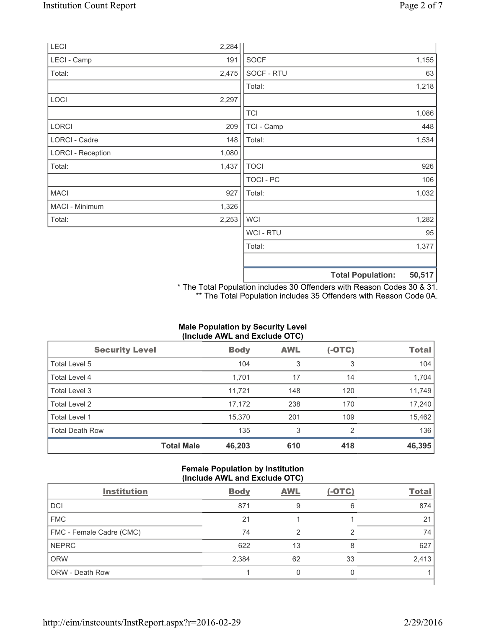| LECI                     | 2,284 |                  |                          |        |
|--------------------------|-------|------------------|--------------------------|--------|
| LECI - Camp              | 191   | <b>SOCF</b>      |                          | 1,155  |
| Total:                   | 2,475 | SOCF - RTU       |                          | 63     |
|                          |       | Total:           |                          | 1,218  |
| LOCI                     | 2,297 |                  |                          |        |
|                          |       | <b>TCI</b>       |                          | 1,086  |
| LORCI                    | 209   | TCI - Camp       |                          | 448    |
| LORCI - Cadre            | 148   | Total:           |                          | 1,534  |
| <b>LORCI - Reception</b> | 1,080 |                  |                          |        |
| Total:                   | 1,437 | <b>TOCI</b>      |                          | 926    |
|                          |       | <b>TOCI - PC</b> |                          | 106    |
| <b>MACI</b>              | 927   | Total:           |                          | 1,032  |
| MACI - Minimum           | 1,326 |                  |                          |        |
| Total:                   | 2,253 | <b>WCI</b>       |                          | 1,282  |
|                          |       | WCI - RTU        |                          | 95     |
|                          |       | Total:           |                          | 1,377  |
|                          |       |                  | <b>Total Population:</b> | 50,517 |

\* The Total Population includes 30 Offenders with Reason Codes 30 & 31. \*\* The Total Population includes 35 Offenders with Reason Code 0A.

# **Male Population by Security Level (Include AWL and Exclude OTC)**

| <b>Security Level</b>  |                   | <b>Body</b> | <b>AWL</b> | $(-OTC)$       | <b>Total</b> |
|------------------------|-------------------|-------------|------------|----------------|--------------|
| Total Level 5          |                   | 104         | 3          | 3              | 104          |
| <b>Total Level 4</b>   |                   | 1,701       | 17         | 14             | 1,704        |
| Total Level 3          |                   | 11,721      | 148        | 120            | 11,749       |
| Total Level 2          |                   | 17,172      | 238        | 170            | 17,240       |
| <b>Total Level 1</b>   |                   | 15,370      | 201        | 109            | 15,462       |
| <b>Total Death Row</b> |                   | 135         | 3          | $\overline{2}$ | 136          |
|                        | <b>Total Male</b> | 46,203      | 610        | 418            | 46,395       |

# **Female Population by Institution (Include AWL and Exclude OTC)**

| $\frac{1}{2}$            |             |            |          |              |
|--------------------------|-------------|------------|----------|--------------|
| <b>Institution</b>       | <b>Body</b> | <b>AWL</b> | $(-OTC)$ | <b>Total</b> |
| <b>DCI</b>               | 871         | 9          | 6        | 874          |
| <b>FMC</b>               | 21          |            |          | 21           |
| FMC - Female Cadre (CMC) | 74          | າ          | っ        | 74           |
| <b>NEPRC</b>             | 622         | 13         | 8        | 627          |
| <b>ORW</b>               | 2,384       | 62         | 33       | 2,413        |
| <b>ORW - Death Row</b>   |             |            |          |              |
|                          |             |            |          |              |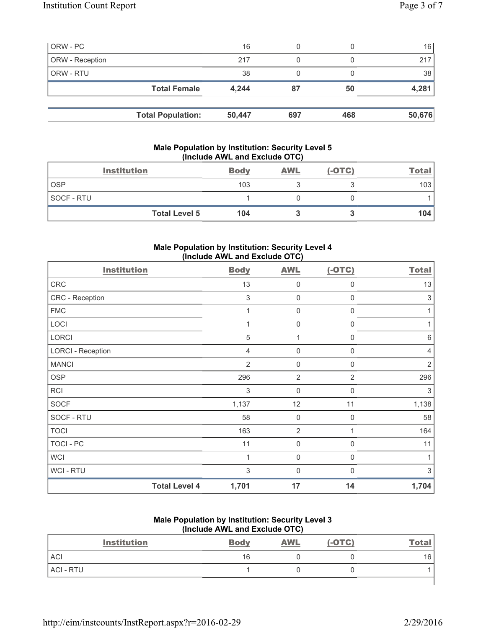| ORW - PC        |                          | 16     |     |     | 16     |
|-----------------|--------------------------|--------|-----|-----|--------|
| ORW - Reception |                          | 217    |     |     | 217    |
| ORW - RTU       |                          | 38     |     |     | 38     |
|                 | <b>Total Female</b>      | 4.244  | 87  | 50  | 4,281  |
|                 |                          |        |     |     |        |
|                 | <b>Total Population:</b> | 50,447 | 697 | 468 | 50,676 |

# **Male Population by Institution: Security Level 5 (Include AWL and Exclude OTC)**

| <b>Institution</b>   | <b>Body</b> | <b>AWL</b> | $(-OTC)$ | <b>Total</b> |
|----------------------|-------------|------------|----------|--------------|
| <b>OSP</b>           | 103         |            |          | 103          |
| SOCF - RTU           |             |            |          |              |
| <b>Total Level 5</b> | 104         |            |          | 104          |

## **Male Population by Institution: Security Level 4 (Include AWL and Exclude OTC)**

| <b>Institution</b>       |                      | <b>Body</b>    | <b>AWL</b>     | $(-OTC)$    | <b>Total</b>              |
|--------------------------|----------------------|----------------|----------------|-------------|---------------------------|
| CRC                      |                      | 13             | 0              | 0           | 13                        |
| CRC - Reception          |                      | $\sqrt{3}$     | $\mathbf 0$    | 0           | $\ensuremath{\mathsf{3}}$ |
| <b>FMC</b>               |                      | 1              | $\mathbf 0$    | $\mathbf 0$ | 1                         |
| LOCI                     |                      | 1              | $\mathbf 0$    | 0           | 1                         |
| <b>LORCI</b>             |                      | 5              | 1              | $\Omega$    | $6\,$                     |
| <b>LORCI - Reception</b> |                      | $\overline{4}$ | $\mathbf 0$    | $\mathbf 0$ | 4                         |
| <b>MANCI</b>             |                      | $\overline{2}$ | 0              | 0           | $\overline{2}$            |
| <b>OSP</b>               |                      | 296            | $\overline{2}$ | 2           | 296                       |
| <b>RCI</b>               |                      | 3              | $\mathbf 0$    | $\mathbf 0$ | 3                         |
| <b>SOCF</b>              |                      | 1,137          | 12             | 11          | 1,138                     |
| SOCF - RTU               |                      | 58             | 0              | $\Omega$    | 58                        |
| <b>TOCI</b>              |                      | 163            | $\overline{2}$ |             | 164                       |
| <b>TOCI - PC</b>         |                      | 11             | $\mathbf 0$    | 0           | 11                        |
| <b>WCI</b>               |                      | 1              | 0              | 0           | 1                         |
| <b>WCI-RTU</b>           |                      | $\mathfrak{S}$ | $\mathbf 0$    | $\Omega$    | 3                         |
|                          | <b>Total Level 4</b> | 1,701          | 17             | 14          | 1,704                     |

#### **Male Population by Institution: Security Level 3 (Include AWL and Exclude OTC)**

| <b>Institution</b> | <b>Body</b> | <b>AWL</b> | $(-OTC)$ | <b>Total</b> |
|--------------------|-------------|------------|----------|--------------|
| <b>ACI</b>         | 16          |            |          | 16           |
| ACI - RTU          |             |            |          |              |
|                    |             |            |          |              |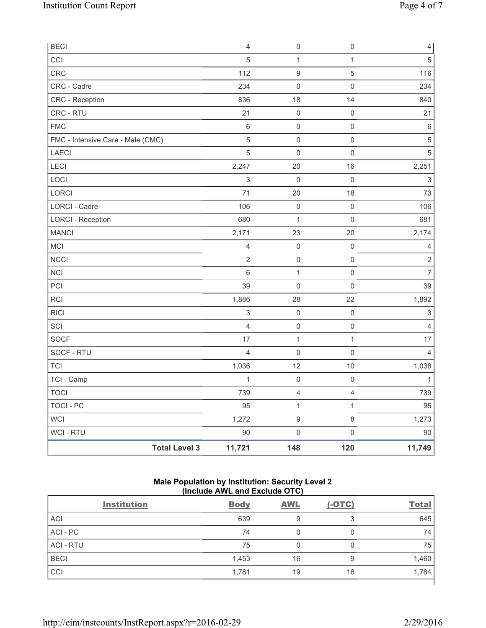| <b>BECI</b>                       | $\overline{4}$ | $\mathsf{O}\xspace$ | $\mathsf{O}\xspace$ | $\overline{4}$            |
|-----------------------------------|----------------|---------------------|---------------------|---------------------------|
| CCI                               | 5              | 1                   | $\mathbf{1}$        | 5                         |
| CRC                               | 112            | $\boldsymbol{9}$    | 5                   | 116                       |
| CRC - Cadre                       | 234            | $\mathsf{O}\xspace$ | $\mathsf 0$         | 234                       |
| CRC - Reception                   | 836            | 18                  | 14                  | 840                       |
| CRC - RTU                         | 21             | $\mathsf{O}\xspace$ | $\mathsf{O}\xspace$ | 21                        |
| <b>FMC</b>                        | $\,6\,$        | 0                   | $\mathsf{O}\xspace$ | $\,6\,$                   |
| FMC - Intensive Care - Male (CMC) | $\sqrt{5}$     | 0                   | $\mathsf{0}$        | $\sqrt{5}$                |
| LAECI                             | $\overline{5}$ | $\mathsf{O}\xspace$ | $\mathsf{O}\xspace$ | $\sqrt{5}$                |
| LECI                              | 2,247          | 20                  | 16                  | 2,251                     |
| LOCI                              | $\sqrt{3}$     | $\mathsf{O}\xspace$ | $\mathsf{O}\xspace$ | $\ensuremath{\mathsf{3}}$ |
| LORCI                             | 71             | 20                  | 18                  | 73                        |
| LORCI - Cadre                     | 106            | $\mathsf{O}\xspace$ | $\mathsf{O}\xspace$ | 106                       |
| <b>LORCI - Reception</b>          | 680            | $\mathbf{1}$        | $\mathsf 0$         | 681                       |
| <b>MANCI</b>                      | 2,171          | 23                  | 20                  | 2,174                     |
| <b>MCI</b>                        | $\overline{4}$ | $\mathsf{O}\xspace$ | $\mathsf{O}\xspace$ | 4                         |
| <b>NCCI</b>                       | $\overline{2}$ | $\mathsf{O}\xspace$ | $\mathsf{O}\xspace$ | $\sqrt{2}$                |
| NCI                               | $6\phantom{1}$ | $\mathbf{1}$        | $\mathsf 0$         | $\overline{7}$            |
| PCI                               | 39             | $\mathsf{O}\xspace$ | 0                   | 39                        |
| <b>RCI</b>                        | 1,886          | 28                  | 22                  | 1,892                     |
| <b>RICI</b>                       | $\,$ 3 $\,$    | $\mathsf{O}\xspace$ | $\mathsf{O}\xspace$ | 3                         |
| SCI                               | $\overline{4}$ | $\mathsf 0$         | $\mathsf 0$         | 4                         |
| <b>SOCF</b>                       | 17             | $\mathbf 1$         | $\mathbf{1}$        | 17                        |
| SOCF - RTU                        | $\overline{4}$ | $\mathsf{O}\xspace$ | $\mathsf{O}\xspace$ | 4                         |
| <b>TCI</b>                        | 1,036          | 12                  | 10                  | 1,038                     |
| TCI - Camp                        | $\mathbf{1}$   | $\mathsf{O}\xspace$ | $\mathsf{O}\xspace$ |                           |
| <b>TOCI</b>                       | 739            | $\overline{4}$      | $\overline{4}$      | 739                       |
| <b>TOCI - PC</b>                  | 95             | $\mathbf{1}$        | $\mathbf{1}$        | 95                        |
| <b>WCI</b>                        | 1,272          | $\hbox{9}$          | $\,8\,$             | 1,273                     |
| WCI - RTU                         | 90             | $\mathsf{O}\xspace$ | $\mathsf{O}\xspace$ | 90                        |
| <b>Total Level 3</b>              | 11,721         | 148                 | 120                 | 11,749                    |

# **Male Population by Institution: Security Level 2 (Include AWL and Exclude OTC)**

| <b>Institution</b> | <b>Body</b> | <b>AWL</b> | $(-OTC)$ | <b>Total</b> |
|--------------------|-------------|------------|----------|--------------|
| <b>ACI</b>         | 639         |            | っ        | 645          |
| ACI-PC             | 74          |            | 0        | 74           |
| <b>ACI - RTU</b>   | 75          |            | 0        | 75           |
| <b>BECI</b>        | 1,453       | 16         | 9        | 1,460        |
| CCI                | 1,781       | 19         | 16       | 1,784        |
|                    |             |            |          |              |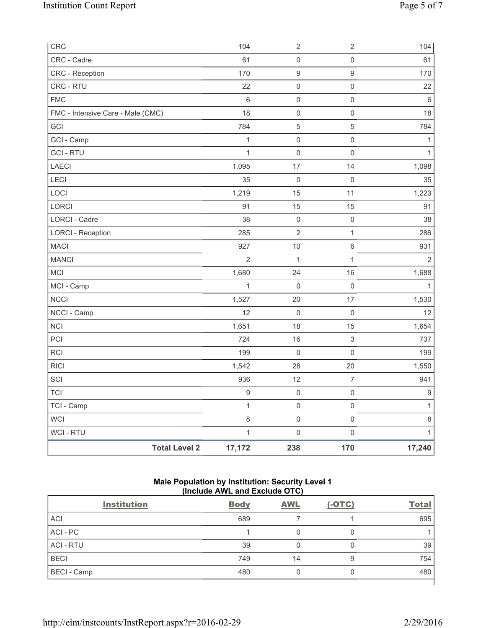| CRC                               | 104                            | $\sqrt{2}$          | $\sqrt{2}$                | 104            |
|-----------------------------------|--------------------------------|---------------------|---------------------------|----------------|
| CRC - Cadre                       | 61                             | $\mathsf 0$         | $\mathsf{O}\xspace$       | 61             |
| CRC - Reception                   | 170                            | $\boldsymbol{9}$    | 9                         | 170            |
| CRC - RTU                         | 22                             | $\mathsf 0$         | $\mathsf{O}\xspace$       | 22             |
| <b>FMC</b>                        | $6\phantom{a}$                 | $\mathsf{O}\xspace$ | $\mathbf 0$               | $6\phantom{a}$ |
| FMC - Intensive Care - Male (CMC) | 18                             | $\mathsf 0$         | $\mathsf{O}\xspace$       | 18             |
| GCI                               | 784                            | $\,$ 5 $\,$         | 5                         | 784            |
| GCI - Camp                        | 1                              | $\mathsf{O}\xspace$ | $\mathsf{O}\xspace$       | $\mathbf{1}$   |
| <b>GCI-RTU</b>                    | 1                              | $\mathbf 0$         | $\mathbf 0$               | $\mathbf{1}$   |
| LAECI                             | 1,095                          | 17                  | 14                        | 1,098          |
| LECI                              | 35                             | $\mathsf{O}\xspace$ | $\mathsf{O}\xspace$       | 35             |
| LOCI                              | 1,219                          | 15                  | 11                        | 1,223          |
| LORCI                             | 91                             | 15                  | 15                        | 91             |
| <b>LORCI - Cadre</b>              | 38                             | $\mathsf{O}\xspace$ | $\mathsf 0$               | 38             |
| <b>LORCI - Reception</b>          | 285                            | $\overline{2}$      | $\mathbf{1}$              | 286            |
| <b>MACI</b>                       | 927                            | 10                  | 6                         | 931            |
| <b>MANCI</b>                      | $\overline{2}$                 | $\mathbf{1}$        | $\mathbf{1}$              | 2              |
| MCI                               | 1,680                          | 24                  | 16                        | 1,688          |
| MCI - Camp                        | $\mathbf{1}$                   | $\mathsf 0$         | $\mathsf{O}\xspace$       | $\mathbf{1}$   |
| <b>NCCI</b>                       | 1,527                          | 20                  | 17                        | 1,530          |
| NCCI - Camp                       | 12                             | $\mathsf{O}\xspace$ | $\mathbf 0$               | 12             |
| <b>NCI</b>                        | 1,651                          | 18                  | 15                        | 1,654          |
| PCI                               | 724                            | 16                  | $\ensuremath{\mathsf{3}}$ | 737            |
| <b>RCI</b>                        | 199                            | $\mathbf 0$         | $\mathsf{O}\xspace$       | 199            |
| <b>RICI</b>                       | 1,542                          | 28                  | 20                        | 1,550          |
| SCI                               | 936                            | 12                  | $\overline{7}$            | 941            |
| <b>TCI</b>                        | $\boldsymbol{9}$               | $\mathsf 0$         | $\mathsf{O}\xspace$       | 9              |
| TCI - Camp                        | $\mathbf{1}$                   | $\mathsf{O}\xspace$ | $\mathsf{O}\xspace$       | $\mathbf{1}$   |
| WCI                               | $\,8\,$                        | $\mathsf{O}\xspace$ | $\mathsf{O}\xspace$       | $\,8\,$        |
| WCI - RTU                         | $\mathbf{1}$                   | $\mathsf{O}\xspace$ | $\mathsf 0$               | $\mathbf{1}$   |
|                                   | <b>Total Level 2</b><br>17,172 | 238                 | 170                       | 17,240         |

## **Male Population by Institution: Security Level 1 (Include AWL and Exclude OTC)**

| <b>Institution</b> | <b>Body</b> | <b>AWL</b> | $(-OTC)$ | <b>Total</b> |
|--------------------|-------------|------------|----------|--------------|
| <b>ACI</b>         | 689         |            |          | 695          |
| ACI - PC           |             |            | 0        |              |
| <b>ACI - RTU</b>   | 39          |            | 0        | 39           |
| <b>BECI</b>        | 749         | 14         | 9        | 754          |
| <b>BECI</b> - Camp | 480         |            | 0        | 480          |
|                    |             |            |          |              |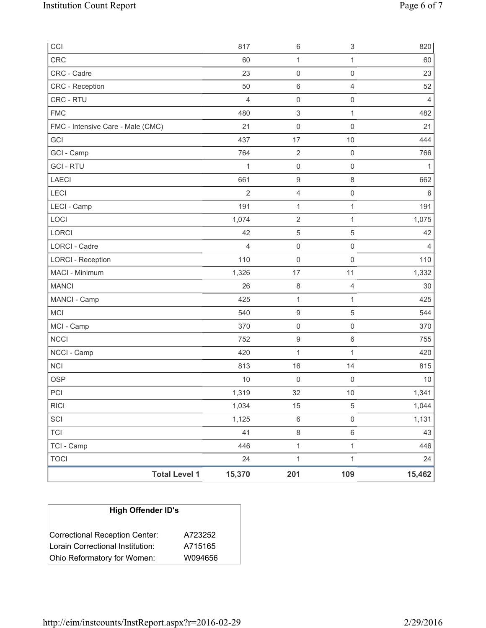| CCI                               |                      | 817            | 6                         | 3                   | 820            |
|-----------------------------------|----------------------|----------------|---------------------------|---------------------|----------------|
| CRC                               |                      | 60             | $\mathbf{1}$              | $\mathbf{1}$        | 60             |
| CRC - Cadre                       |                      | 23             | $\mathsf{O}\xspace$       | $\mathsf{O}\xspace$ | 23             |
| CRC - Reception                   |                      | 50             | 6                         | $\overline{4}$      | 52             |
| CRC - RTU                         |                      | $\overline{4}$ | $\mathsf 0$               | $\mathsf{O}\xspace$ | $\overline{4}$ |
| <b>FMC</b>                        |                      | 480            | $\ensuremath{\mathsf{3}}$ | 1                   | 482            |
| FMC - Intensive Care - Male (CMC) |                      | 21             | $\mathsf 0$               | $\mathsf 0$         | 21             |
| GCI                               |                      | 437            | 17                        | $10$                | 444            |
| GCI - Camp                        |                      | 764            | $\sqrt{2}$                | $\mathsf{O}\xspace$ | 766            |
| <b>GCI - RTU</b>                  |                      | $\mathbf{1}$   | $\mathsf 0$               | $\mathsf 0$         | 1              |
| LAECI                             |                      | 661            | $\boldsymbol{9}$          | $\,8\,$             | 662            |
| LECI                              |                      | $\overline{2}$ | $\overline{\mathbf{4}}$   | $\mathsf 0$         | $\,6$          |
| LECI - Camp                       |                      | 191            | $\mathbf{1}$              | 1                   | 191            |
| LOCI                              |                      | 1,074          | $\sqrt{2}$                | $\mathbf{1}$        | 1,075          |
| LORCI                             |                      | 42             | 5                         | 5                   | 42             |
| LORCI - Cadre                     |                      | 4              | $\mathsf{O}\xspace$       | $\mathsf{O}\xspace$ | 4              |
| <b>LORCI - Reception</b>          |                      | 110            | $\mathsf{O}\xspace$       | $\mathsf 0$         | 110            |
| MACI - Minimum                    |                      | 1,326          | 17                        | 11                  | 1,332          |
| <b>MANCI</b>                      |                      | 26             | 8                         | $\overline{4}$      | 30             |
| MANCI - Camp                      |                      | 425            | $\mathbf 1$               | 1                   | 425            |
| <b>MCI</b>                        |                      | 540            | $\boldsymbol{9}$          | 5                   | 544            |
| MCI - Camp                        |                      | 370            | $\mathsf 0$               | $\mathsf{O}\xspace$ | 370            |
| <b>NCCI</b>                       |                      | 752            | $\boldsymbol{9}$          | $\,6\,$             | 755            |
| NCCI - Camp                       |                      | 420            | $\mathbf{1}$              | 1                   | 420            |
| NCI                               |                      | 813            | 16                        | 14                  | 815            |
| <b>OSP</b>                        |                      | 10             | $\mathsf{O}\xspace$       | $\mathbf 0$         | 10             |
| PCI                               |                      | 1,319          | 32                        | 10                  | 1,341          |
| <b>RICI</b>                       |                      | 1,034          | 15                        | $\,$ 5 $\,$         | 1,044          |
| SCI                               |                      | 1,125          | $\,6\,$                   | $\mathsf{O}\xspace$ | 1,131          |
| TCI                               |                      | 41             | $\,8\,$                   | $\,6\,$             | 43             |
| TCI - Camp                        |                      | 446            | $\mathbf 1$               | $\mathbf{1}$        | 446            |
| <b>TOCI</b>                       |                      | 24             | $\mathbf{1}$              | $\mathbf{1}$        | 24             |
|                                   | <b>Total Level 1</b> | 15,370         | 201                       | 109                 | 15,462         |

| <b>High Offender ID's</b>        |         |  |  |  |  |
|----------------------------------|---------|--|--|--|--|
| Correctional Reception Center:   | A723252 |  |  |  |  |
| Lorain Correctional Institution: | A715165 |  |  |  |  |
| Ohio Reformatory for Women:      | W094656 |  |  |  |  |